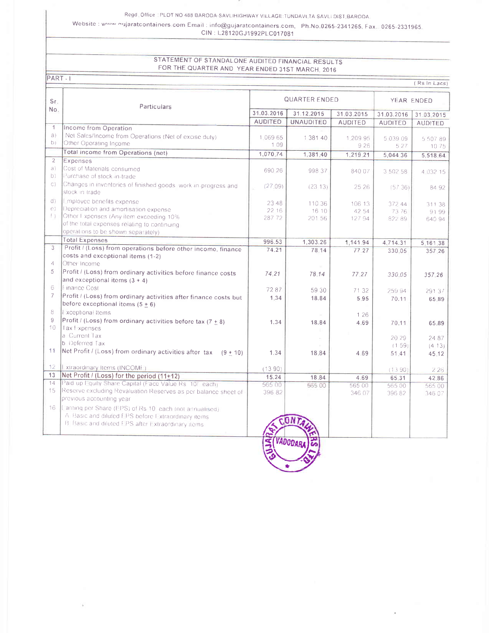Regd. Office LPLOT NO 488 BARODA-SAVLIHIGHWAY VILLAGE:TUNDAVLTA SAVLI DIST, BARODA.

Website: www.nujaratcontainers.com Email: info@gujaratcontainers.com, Ph.No.0265-2341265, Fax. 0265-2331965. CIN: L28120GJ1992PLC017081

## STATEMENT OF STANDALONE AUDITED FINANCIAL RESULTS FOR THE QUARTER AND YEAR ENDED 31ST MARCH, 2016

PART-1

| (Rs In Lacs)    |                                                                                                          |                      |                  |                |                 |                |  |  |  |
|-----------------|----------------------------------------------------------------------------------------------------------|----------------------|------------------|----------------|-----------------|----------------|--|--|--|
| Sr.<br>No.      | Particulars                                                                                              | <b>QUARTER ENDED</b> |                  |                | YEAR ENDED      |                |  |  |  |
|                 |                                                                                                          | 31.03.2016           | 31.12.2015       | 31.03.2015     | 31.03.2016      | 31.03.2015     |  |  |  |
|                 |                                                                                                          | <b>AUDITED</b>       | <b>UNAUDITED</b> | <b>AUDITED</b> | <b>AUDITED</b>  | <b>AUDITED</b> |  |  |  |
| $\overline{1}$  | Income from Operation                                                                                    |                      |                  |                |                 |                |  |  |  |
| a)              | Net Sales/Income from Operations (Net of excise duty)                                                    | 1.06965              | 1 381 40         | 1.209 95       | 5 039 09        | 5 507 89       |  |  |  |
| D               | Other Operating Income                                                                                   | 1 0 9                |                  | 9 2 6          | 5 2 7           | 10 75          |  |  |  |
|                 | Total income from Operations (net)                                                                       | 1,070.74             | 1,381.40         | 1,219.21       | 5,044.36        | 5,518.64       |  |  |  |
| $\overline{2}$  | Expenses                                                                                                 |                      |                  |                |                 |                |  |  |  |
| a)              | Cost of Materials consumed                                                                               | 690 26               | 998 37           | 840 07         | 3 502 58        | 4 032 15       |  |  |  |
| b)              | Purchase of stock in trade                                                                               |                      |                  |                |                 |                |  |  |  |
| $\mathbb{C}$ )  | Changes in inventories of finished goods, work in progress and                                           | (27.09)              | (2313)           | 25 26          | (5736)          | 84 92          |  |  |  |
|                 | stock in trade                                                                                           |                      |                  |                |                 |                |  |  |  |
| d               | Lmployee benefits expense                                                                                | 23 48                | 110 36           | 106 13         | 372 44          | 311 38         |  |  |  |
| $\Theta$ )      | Depreciation and amortisation expense                                                                    | 22 16                | 16 10            | 42 54          | 7376            | 9199           |  |  |  |
| f)              | Other Fxpenses (Any item exceeding 10%                                                                   | 28772                | 201 56           | 127 94         | 82289           | 640 94         |  |  |  |
|                 | of the total expenses relating to continuing<br>operations to be shown separately)                       |                      |                  |                |                 |                |  |  |  |
|                 | <b>Total Expenses</b>                                                                                    |                      |                  |                |                 |                |  |  |  |
| 3               |                                                                                                          | 996.53               | 1,303.26         | 1,141.94       | 4,714.31        | 5,161.38       |  |  |  |
|                 | Profit / (Loss) from operations before other income, finance<br>costs and exceptional items (1-2)        | 74.21                | 78.14            | 77.27          | 330.05          | 357.26         |  |  |  |
| 4               | Other Income                                                                                             |                      |                  |                |                 |                |  |  |  |
| 5               | Profit / (Loss) from ordinary activities before finance costs                                            |                      |                  |                |                 |                |  |  |  |
|                 | and exceptional items $(3 + 4)$                                                                          | 74.21                | 78.14            | 77.27          | 330.05          | 357.26         |  |  |  |
| 6               | Finance Cost                                                                                             |                      |                  |                |                 |                |  |  |  |
| $\overline{7}$  |                                                                                                          | 7287                 | 59 30            | 71 32          | 259 94          | 29137          |  |  |  |
|                 | Profit / (Loss) from ordinary activities after finance costs but<br>before exceptional items $(5 \pm 6)$ | 1:34                 | 18.84            | 5.95           | 70.11           | 65.89          |  |  |  |
| 8               | L xceptional Items                                                                                       |                      |                  |                |                 |                |  |  |  |
| 9               | Profit / (Loss) from ordinary activities before tax (7 $\pm$ 8)                                          |                      |                  | 1 2 6          |                 |                |  |  |  |
| $10 -$          | Tax Expenses                                                                                             | 1.34                 | 18.84            | 4.69           | 70.11           | 65.89          |  |  |  |
|                 | a Current Tax                                                                                            |                      |                  |                |                 |                |  |  |  |
|                 | b Deferred Tax                                                                                           |                      |                  |                | 20 29<br>(1.59) | 24 87          |  |  |  |
| 11              | Net Profit / (Loss) from ordinary activities after tax $(9 + 10)$                                        | 1.34                 | 18.84            | 4 6 9          | 51.41           | (413)          |  |  |  |
|                 |                                                                                                          |                      |                  |                |                 | 45.12          |  |  |  |
| 12 <sub>1</sub> | Lixtraordinary Items (INCOME)                                                                            | (1390)               |                  |                | (1390)          | 226            |  |  |  |
| 13              | Net Profit / (Loss) for the period (11+12)                                                               | 15.24                | 18.84            | 4.69           | 65.31           | 42.86          |  |  |  |
| 14              | Paid up Equity Share Capital (Face Value Rs 10/ each)                                                    | 565 00               | 565.00           | 565 00         | 565 00          | 565 00         |  |  |  |
| 15              | Reserve excluding Revaluation Reserves as per balance sheet of                                           | 396 82               |                  | 346 07         | 396 82          | 346 07         |  |  |  |
|                 | previous accounting year                                                                                 |                      |                  |                |                 |                |  |  |  |
| 16 <sup>1</sup> | [Larning per Share (EPS) of Rs 10 each (not annualised)                                                  |                      |                  |                |                 |                |  |  |  |
|                 | A. Basic and diluted EPS before Extraordinary items.                                                     |                      |                  |                |                 |                |  |  |  |
|                 | B. Basic and diluted FPS after Extraordinary items.                                                      |                      |                  |                |                 |                |  |  |  |
|                 |                                                                                                          |                      |                  |                |                 |                |  |  |  |
|                 |                                                                                                          | S                    | <b>VADODARA</b>  |                |                 |                |  |  |  |
|                 |                                                                                                          |                      |                  |                |                 |                |  |  |  |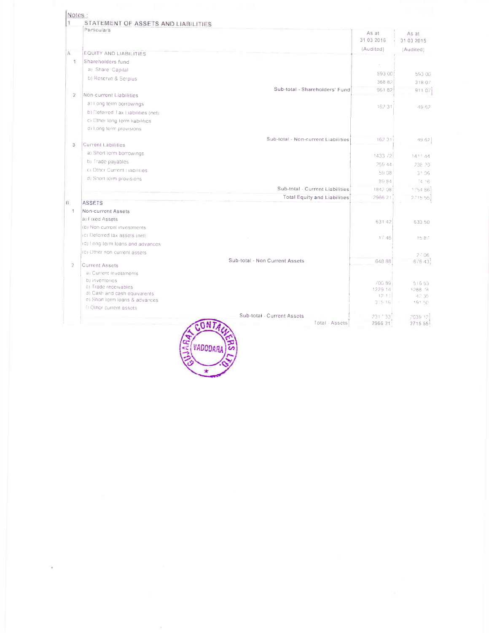|                | STATEMENT OF ASSETS AND LIABILITIES<br>Particulars    |                                     |          |            |
|----------------|-------------------------------------------------------|-------------------------------------|----------|------------|
|                |                                                       | As at                               |          | As at      |
|                |                                                       | 31 03 2016                          |          | 31 03 2015 |
| Α              | <b>EQUITY AND LIABILITIES</b>                         | (Audited)                           |          | (Audited)  |
| Ŧ.             | Shareholders fund                                     |                                     |          |            |
|                | a) Share Capital                                      |                                     |          |            |
|                | b) Reserve & Serplus                                  |                                     | 593 00   | 593.00     |
|                |                                                       |                                     | 368 82   | 31807      |
| $^{2}$         | Non-current Liabilities                               | Sub-total - Shareholders' Fund      | 96182    | 911.07     |
|                | a) I ong term borrowings                              |                                     |          |            |
|                | b) Deferred Tax Liabilities (net)                     |                                     | 162.31   | 49.62      |
|                | ci Other long term liabilities.                       |                                     |          |            |
|                | d) Long term provisions                               |                                     |          |            |
|                |                                                       | Sub-total - Non-current Liabilities | 162.31   | 49.62      |
| 3.             | <b>Current Labilities</b>                             |                                     |          |            |
|                | a) Short term borrowings                              |                                     | 1433 72  | 1411.44    |
|                | b) Trade payables                                     |                                     | 259.44   | 238.20     |
|                | c) Other Current Liabilities                          |                                     | 59.08    | 31.06      |
|                | d) Short term provisions                              |                                     | 89.84    | 14.16      |
|                |                                                       | Sub-total - Current Liabilities     | 1842.08  | 1754.86    |
|                |                                                       | Total Equity and Liabilities        | 2966 21  | 2715.55    |
| B.             | <b>ASSETS</b>                                         |                                     |          |            |
| а.             | Non-current Assets                                    |                                     |          |            |
|                | a) Fixed Assets                                       |                                     | 631 42   | 633 50     |
|                | (b) Non-current investments                           |                                     |          |            |
|                | (c) Deforred tax assets (net)                         |                                     | 17.46    | 1587       |
|                | (d) ! ong-term loans and advances                     |                                     |          |            |
|                | (e) Other non current assets.                         |                                     |          | 2/06       |
| $\overline{2}$ | <b>Current Assets</b>                                 | Sub-total - Non Current Assets      | 648 88   | 676 43     |
|                | a) Current Investments                                |                                     |          |            |
|                | b) inventories                                        |                                     | 700 89   | 516 53     |
|                | c) Trade receivables<br>d) Cash and cash equivalents. |                                     | 1229.14  | 1288 74    |
|                | e) Short term loans & advances                        |                                     | 12:1     | 42.35      |
|                | fi Other current assets                               |                                     | 3 5 19   | 191.50     |
|                |                                                       | Sub-total - Current Assets          | 231 ' 33 | 2039-12    |
|                |                                                       | Total - Assets                      | 2966 21  | 2715 55    |